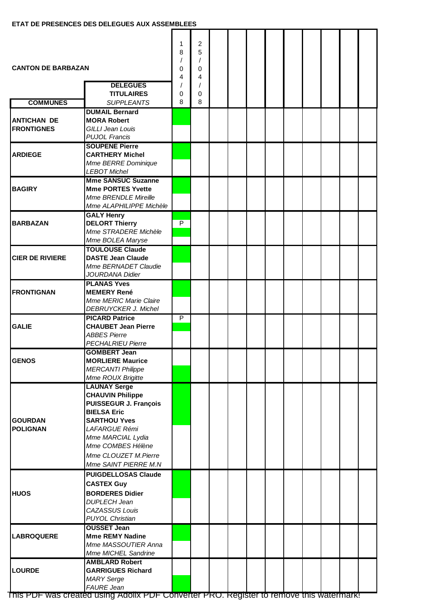| <b>CANTON DE BARBAZAN</b><br><b>DELEGUES</b> |                                                                                                                                                                                                                                               | 1<br>8<br>0<br>4 | 2<br>5<br>$\prime$<br>0<br>4<br>$\prime$ |  |  |  |  |  |
|----------------------------------------------|-----------------------------------------------------------------------------------------------------------------------------------------------------------------------------------------------------------------------------------------------|------------------|------------------------------------------|--|--|--|--|--|
| <b>COMMUNES</b>                              | <b>TITULAIRES</b><br><b>SUPPLEANTS</b>                                                                                                                                                                                                        | 0<br>8           | 0<br>8                                   |  |  |  |  |  |
| <b>ANTICHAN DE</b><br><b>FRONTIGNES</b>      | <b>DUMAIL Bernard</b><br><b>MORA Robert</b><br><b>GILLI Jean Louis</b><br><b>PUJOL Francis</b>                                                                                                                                                |                  |                                          |  |  |  |  |  |
| <b>ARDIEGE</b>                               | <b>SOUPENE Pierre</b><br><b>CARTHERY Michel</b><br>Mme BERRE Dominique<br><b>LEBOT Michel</b>                                                                                                                                                 |                  |                                          |  |  |  |  |  |
| <b>BAGIRY</b>                                | <b>Mme SANSUC Suzanne</b><br><b>Mme PORTES Yvette</b><br>Mme BRENDLE Mireille<br>Mme ALAPHILIPPE Michèle                                                                                                                                      |                  |                                          |  |  |  |  |  |
| <b>BARBAZAN</b>                              | <b>GALY Henry</b><br><b>DELORT Thierry</b><br>Mme STRADERE Michèle<br>Mme BOLEA Maryse                                                                                                                                                        | $\overline{P}$   |                                          |  |  |  |  |  |
| <b>CIER DE RIVIERE</b>                       | <b>TOULOUSE Claude</b><br><b>DASTE Jean Claude</b><br>Mme BERNADET Claudie<br>JOURDANA Didier                                                                                                                                                 |                  |                                          |  |  |  |  |  |
| <b>FRONTIGNAN</b>                            | <b>PLANAS Yves</b><br><b>MEMERY René</b><br>Mme MERIC Marie Claire<br>DEBRUYCKER J. Michel                                                                                                                                                    |                  |                                          |  |  |  |  |  |
| <b>GALIE</b>                                 | <b>PICARD Patrice</b><br><b>CHAUBET Jean Pierre</b><br><b>ABBES Pierre</b><br><b>PECHALRIEU Pierre</b>                                                                                                                                        | $\overline{P}$   |                                          |  |  |  |  |  |
| <b>GENOS</b>                                 | GOMBERT Jean<br><b>MORLIERE Maurice</b><br><b>MERCANTI Philippe</b><br>Mme ROUX Brigitte                                                                                                                                                      |                  |                                          |  |  |  |  |  |
| <b>GOURDAN</b><br><b>POLIGNAN</b>            | <b>LAUNAY Serge</b><br><b>CHAUVIN Philippe</b><br><b>PUISSEGUR J. François</b><br><b>BIELSA Eric</b><br><b>SARTHOU Yves</b><br><b>LAFARGUE Rémi</b><br>Mme MARCIAL Lydia<br>Mme COMBES Hélène<br>Mme CLOUZET M.Pierre<br>Mme SAINT PIERRE M.N |                  |                                          |  |  |  |  |  |
| <b>HUOS</b>                                  | <b>PUIGDELLOSAS Claude</b><br><b>CASTEX Guy</b><br><b>BORDERES Didier</b><br><b>DUPLECH Jean</b><br>CAZASSUS Louis<br><b>PUYOL Christian</b>                                                                                                  |                  |                                          |  |  |  |  |  |
| <b>LABROQUERE</b>                            | <b>OUSSET Jean</b><br><b>Mme REMY Nadine</b><br>Mme MASSOUTIER Anna<br>Mme MICHEL Sandrine                                                                                                                                                    |                  |                                          |  |  |  |  |  |
| <b>LOURDE</b>                                | <b>AMBLARD Robert</b><br><b>GARRIGUES Richard</b><br><b>MARY Serge</b><br><b>FAURE</b> Jean                                                                                                                                                   |                  |                                          |  |  |  |  |  |

This PDF was created using Adolix PDF Converter PRO. Register to remove this watermark!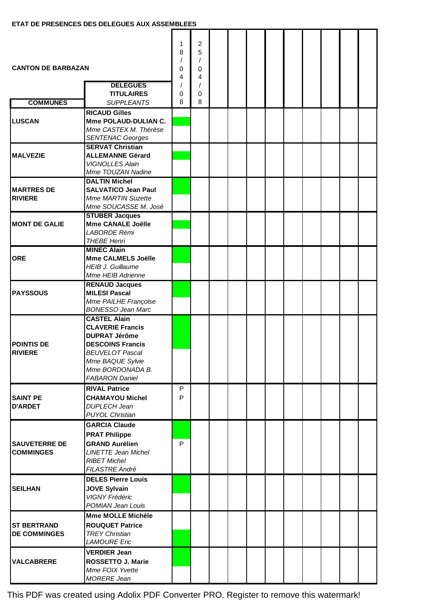| <b>CANTON DE BARBAZAN</b><br><b>DELEGUES</b> |                                                                                                                                                                                              | 1<br>8<br>0<br>4 | 2<br>5<br>$\prime$<br>0<br>4 |  |  |  |  |  |
|----------------------------------------------|----------------------------------------------------------------------------------------------------------------------------------------------------------------------------------------------|------------------|------------------------------|--|--|--|--|--|
|                                              | <b>TITULAIRES</b>                                                                                                                                                                            | 0                | 0                            |  |  |  |  |  |
| <b>COMMUNES</b>                              | <b>SUPPLEANTS</b><br><b>RICAUD Gilles</b>                                                                                                                                                    | 8                | 8                            |  |  |  |  |  |
| <b>LUSCAN</b>                                | Mme POLAUD-DULIAN C.<br>Mme CASTEX M. Thérèse<br><b>SENTENAC Georges</b>                                                                                                                     |                  |                              |  |  |  |  |  |
| <b>MALVEZIE</b>                              | <b>SERVAT Christian</b><br><b>ALLEMANNE Gérard</b><br><b>VIGNOLLES Alain</b><br>Mme TOUZAN Nadine                                                                                            |                  |                              |  |  |  |  |  |
| <b>MARTRES DE</b><br><b>RIVIERE</b>          | <b>DALTIN Michel</b><br><b>SALVATICO Jean Paul</b><br><b>Mme MARTIN Suzette</b><br>Mme SOUCASSE M. José                                                                                      |                  |                              |  |  |  |  |  |
| <b>MONT DE GALIE</b>                         | <b>STUBER Jacques</b><br>Mme CANALE Joëlle<br>LABORDE Rémi<br><b>THEBE Henri</b>                                                                                                             |                  |                              |  |  |  |  |  |
| <b>ORE</b>                                   | <b>MINEC Alain</b><br>Mme CALMELS Joëlle<br><b>HEIB J. Guillaume</b><br>Mme HEIB Adrienne                                                                                                    |                  |                              |  |  |  |  |  |
| <b>PAYSSOUS</b>                              | <b>RENAUD Jacques</b><br><b>MILESI Pascal</b><br>Mme PAILHE Françoise<br><b>BONESSO Jean Marc</b>                                                                                            |                  |                              |  |  |  |  |  |
| <b>POINTIS DE</b><br><b>RIVIERE</b>          | <b>CASTEL Alain</b><br><b>CLAVERIE Francis</b><br><b>DUPRAT Jérôme</b><br><b>DESCOINS Francis</b><br><b>BEUVELOT Pascal</b><br>Mme BAQUE Sylvie<br>Mme BORDONADA B.<br><b>FABARON Daniel</b> |                  |                              |  |  |  |  |  |
| <b>SAINT PE</b><br><b>D'ARDET</b>            | <b>RIVAL Patrice</b><br><b>CHAMAYOU Michel</b><br><b>DUPLECH Jean</b><br><b>PUYOL Christian</b>                                                                                              | P<br>P           |                              |  |  |  |  |  |
| <b>SAUVETERRE DE</b><br><b>COMMINGES</b>     | <b>GARCIA Claude</b><br><b>PRAT Philippe</b><br><b>GRAND Aurélien</b><br><b>LINETTE Jean Michel</b><br><b>RIBET Michel</b><br>FILASTRE André                                                 | P                |                              |  |  |  |  |  |
| <b>SEILHAN</b>                               | <b>DELES Pierre Louis</b><br><b>JOVE Sylvain</b><br><b>VIGNY Frédéric</b><br>POMIAN Jean Louis                                                                                               |                  |                              |  |  |  |  |  |
| <b>ST BERTRAND</b><br><b>DE COMMINGES</b>    | <b>Mme MOLLE Michèle</b><br><b>ROUQUET Patrice</b><br><b>TREY Christian</b><br><b>LAMOURE</b> Eric                                                                                           |                  |                              |  |  |  |  |  |
| <b>VALCABRERE</b>                            | <b>VERDIER Jean</b><br>ROSSETTO J. Marie<br>Mme FOIX Yvette<br><b>MORERE Jean</b>                                                                                                            |                  |                              |  |  |  |  |  |

This PDF was created using Adolix PDF Converter PRO. Register to remove this watermark!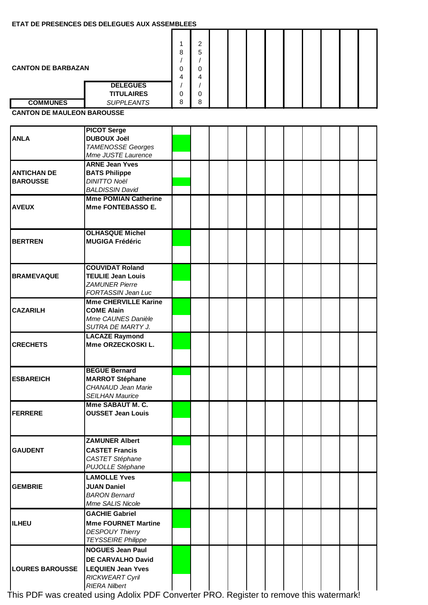## **ETAT DE PRESENCES DES DELEGUES AUX ASSEMBLEES**

| <b>CANTON DE BARBAZAN</b>             |                                                                                                                                   | 1.<br>8<br>0<br>4 | $\overline{c}$<br>5<br>0<br>4 |  |  |  |  |  |
|---------------------------------------|-----------------------------------------------------------------------------------------------------------------------------------|-------------------|-------------------------------|--|--|--|--|--|
|                                       | <b>DELEGUES</b><br><b>TITULAIRES</b>                                                                                              | 0                 | $\prime$<br>0                 |  |  |  |  |  |
| <b>COMMUNES</b>                       | <b>SUPPLEANTS</b>                                                                                                                 | 8                 | 8                             |  |  |  |  |  |
| <b>CANTON DE MAULEON BAROUSSE</b>     |                                                                                                                                   |                   |                               |  |  |  |  |  |
|                                       |                                                                                                                                   |                   |                               |  |  |  |  |  |
| <b>ANLA</b>                           | <b>PICOT Serge</b><br><b>DUBOUX Joël</b><br><b>TAMENOSSE Georges</b><br>Mme JUSTE Laurence                                        |                   |                               |  |  |  |  |  |
|                                       | <b>ARNE Jean Yves</b>                                                                                                             |                   |                               |  |  |  |  |  |
| <b>ANTICHAN DE</b><br><b>BAROUSSE</b> | <b>BATS Philippe</b><br><b>DINITTO Noël</b><br><b>BALDISSIN David</b>                                                             |                   |                               |  |  |  |  |  |
|                                       | <b>Mme POMIAN Catherine</b>                                                                                                       |                   |                               |  |  |  |  |  |
| <b>AVEUX</b>                          | Mme FONTEBASSO E.                                                                                                                 |                   |                               |  |  |  |  |  |
|                                       | <b>OLHASQUE Michel</b>                                                                                                            |                   |                               |  |  |  |  |  |
| <b>BERTREN</b>                        | <b>MUGIGA Frédéric</b>                                                                                                            |                   |                               |  |  |  |  |  |
|                                       | <b>COUVIDAT Roland</b>                                                                                                            |                   |                               |  |  |  |  |  |
| <b>BRAMEVAQUE</b>                     | <b>TEULIE Jean Louis</b><br><b>ZAMUNER Pierre</b><br>FORTASSIN Jean Luc                                                           |                   |                               |  |  |  |  |  |
|                                       | <b>Mme CHERVILLE Karine</b>                                                                                                       |                   |                               |  |  |  |  |  |
| <b>CAZARILH</b>                       | <b>COME Alain</b><br>Mme CAUNES Danièle<br>SUTRA DE MARTY J.                                                                      |                   |                               |  |  |  |  |  |
| <b>CRECHETS</b>                       | <b>LACAZE Raymond</b><br>Mme ORZECKOSKI L.                                                                                        |                   |                               |  |  |  |  |  |
| <b>ESBAREICH</b>                      | <b>BEGUE Bernard</b><br><b>MARROT Stéphane</b><br><b>CHANAUD Jean Marie</b><br><b>SEILHAN Maurice</b>                             |                   |                               |  |  |  |  |  |
| <b>FERRERE</b>                        | Mme SABAUT M. C.<br><b>OUSSET Jean Louis</b>                                                                                      |                   |                               |  |  |  |  |  |
| <b>GAUDENT</b>                        | <b>ZAMUNER Albert</b><br><b>CASTET Francis</b><br>CASTET Stéphane<br>PUJOLLE Stéphane                                             |                   |                               |  |  |  |  |  |
| <b>GEMBRIE</b>                        | <b>LAMOLLE Yves</b><br><b>JUAN Daniel</b><br><b>BARON Bernard</b><br>Mme SALIS Nicole                                             |                   |                               |  |  |  |  |  |
| <b>ILHEU</b>                          | <b>GACHIE Gabriel</b><br><b>Mme FOURNET Martine</b><br><b>DESPOUY Thierry</b><br><b>TEYSSEIRE Philippe</b>                        |                   |                               |  |  |  |  |  |
| <b>LOURES BAROUSSE</b>                | <b>NOGUES Jean Paul</b><br><b>DE CARVALHO David</b><br><b>LEQUIEN Jean Yves</b><br><b>RICKWEART Cyril</b><br><b>RIERA Nilbert</b> |                   |                               |  |  |  |  |  |

This PDF was created using Adolix PDF Converter PRO. Register to remove this watermark!